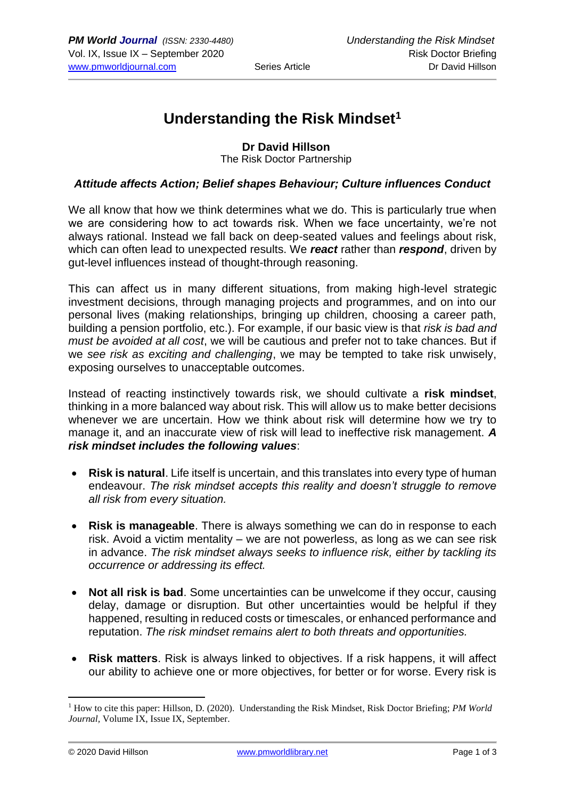# **Understanding the Risk Mindset<sup>1</sup>**

### **Dr David Hillson**

The Risk Doctor Partnership

#### *Attitude affects Action; Belief shapes Behaviour; Culture influences Conduct*

We all know that how we think determines what we do. This is particularly true when we are considering how to act towards risk. When we face uncertainty, we're not always rational. Instead we fall back on deep-seated values and feelings about risk, which can often lead to unexpected results. We *react* rather than *respond*, driven by gut-level influences instead of thought-through reasoning.

This can affect us in many different situations, from making high-level strategic investment decisions, through managing projects and programmes, and on into our personal lives (making relationships, bringing up children, choosing a career path, building a pension portfolio, etc.). For example, if our basic view is that *risk is bad and must be avoided at all cost*, we will be cautious and prefer not to take chances. But if we *see risk as exciting and challenging*, we may be tempted to take risk unwisely, exposing ourselves to unacceptable outcomes.

Instead of reacting instinctively towards risk, we should cultivate a **risk mindset**, thinking in a more balanced way about risk. This will allow us to make better decisions whenever we are uncertain. How we think about risk will determine how we try to manage it, and an inaccurate view of risk will lead to ineffective risk management. *A risk mindset includes the following values*:

- **Risk is natural**. Life itself is uncertain, and this translates into every type of human endeavour. *The risk mindset accepts this reality and doesn't struggle to remove all risk from every situation.*
- **Risk is manageable**. There is always something we can do in response to each risk. Avoid a victim mentality – we are not powerless, as long as we can see risk in advance. *The risk mindset always seeks to influence risk, either by tackling its occurrence or addressing its effect.*
- **Not all risk is bad**. Some uncertainties can be unwelcome if they occur, causing delay, damage or disruption. But other uncertainties would be helpful if they happened, resulting in reduced costs or timescales, or enhanced performance and reputation. *The risk mindset remains alert to both threats and opportunities.*
- **Risk matters**. Risk is always linked to objectives. If a risk happens, it will affect our ability to achieve one or more objectives, for better or for worse. Every risk is

<sup>1</sup> How to cite this paper: Hillson, D. (2020). Understanding the Risk Mindset, Risk Doctor Briefing; *PM World Journal,* Volume IX, Issue IX, September.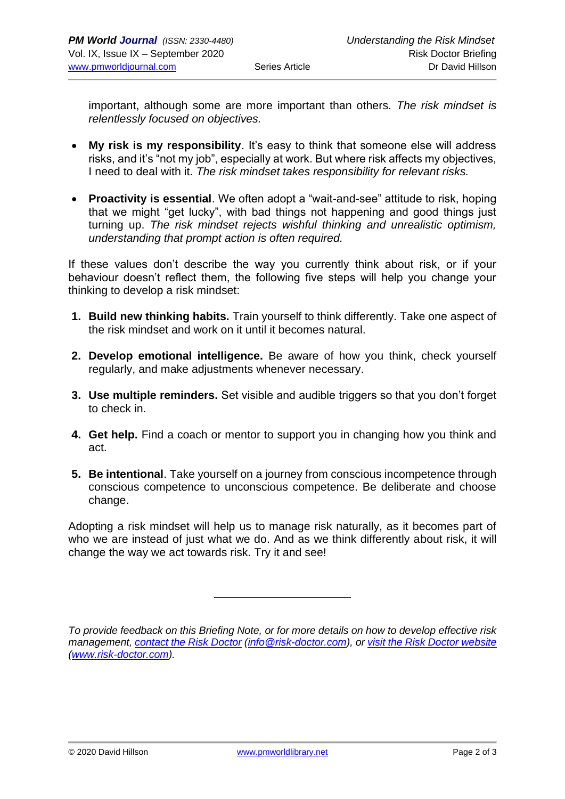important, although some are more important than others. *The risk mindset is relentlessly focused on objectives.*

- **My risk is my responsibility**. It's easy to think that someone else will address risks, and it's "not my job", especially at work. But where risk affects my objectives, I need to deal with it. *The risk mindset takes responsibility for relevant risks.*
- **Proactivity is essential**. We often adopt a "wait-and-see" attitude to risk, hoping that we might "get lucky", with bad things not happening and good things just turning up. *The risk mindset rejects wishful thinking and unrealistic optimism, understanding that prompt action is often required.*

If these values don't describe the way you currently think about risk, or if your behaviour doesn't reflect them, the following five steps will help you change your thinking to develop a risk mindset:

- **1. Build new thinking habits.** Train yourself to think differently. Take one aspect of the risk mindset and work on it until it becomes natural.
- **2. Develop emotional intelligence.** Be aware of how you think, check yourself regularly, and make adjustments whenever necessary.
- **3. Use multiple reminders.** Set visible and audible triggers so that you don't forget to check in.
- **4. Get help.** Find a coach or mentor to support you in changing how you think and act.
- **5. Be intentional**. Take yourself on a journey from conscious incompetence through conscious competence to unconscious competence. Be deliberate and choose change.

Adopting a risk mindset will help us to manage risk naturally, as it becomes part of who we are instead of just what we do. And as we think differently about risk, it will change the way we act towards risk. Try it and see!

*To provide feedback on this Briefing Note, or for more details on how to develop effective risk management, [contact the Risk Doctor](mailto:info@risk-doctor.com?subject=RD%20Briefing%20feedback) [\(info@risk-doctor.com\)](mailto:info@risk-doctor.com?subject=RD%20Network%20feedback), or [visit the Risk Doctor website](http://www.risk-doctor.com/) [\(www.risk-doctor.com\)](http://www.risk-doctor.com/).*